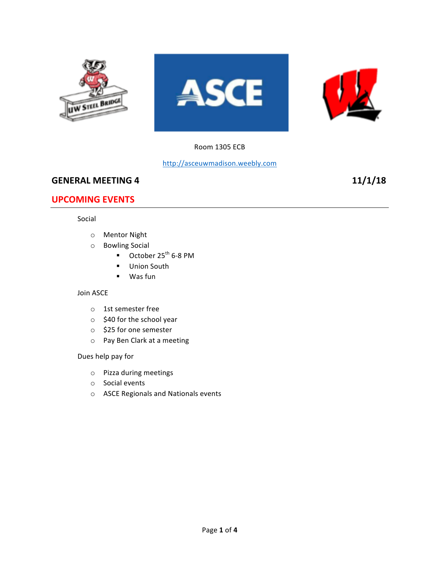

#### Room 1305 ECB

### http://asceuwmadison.weebly.com

# **GENERAL MEETING 4 11/1/18**

# **UPCOMING EVENTS**

#### Social

- o Mentor Night
- o Bowling Social
	- $\blacksquare$  October 25<sup>th</sup> 6-8 PM
	- Union South
	- Was fun

#### Join ASCE

- o 1st semester free
- $\circ$  \$40 for the school year
- o \$25 for one semester
- o Pay Ben Clark at a meeting

### Dues help pay for

- $\circ$  Pizza during meetings
- o Social events
- o ASCE Regionals and Nationals events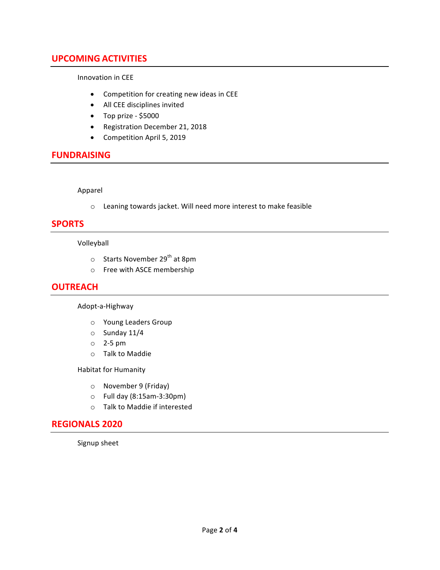# **UPCOMING ACTIVITIES**

Innovation in CEE

- Competition for creating new ideas in CEE
- All CEE disciplines invited
- Top prize \$5000
- Registration December 21, 2018
- Competition April 5, 2019

### **FUNDRAISING**

Apparel

 $\circ$  Leaning towards jacket. Will need more interest to make feasible

### **SPORTS**

Volleyball 

- o Starts November 29<sup>th</sup> at 8pm
- o Free with ASCE membership

### **OUTREACH**

Adopt-a-Highway

- o Young Leaders Group
- $\circ$  Sunday 11/4
- $\circ$  2-5 pm
- o Talk to Maddie

Habitat for Humanity

- o November 9 (Friday)
- $\circ$  Full day (8:15am-3:30pm)
- $\circ$  Talk to Maddie if interested

### **REGIONALS 2020**

Signup sheet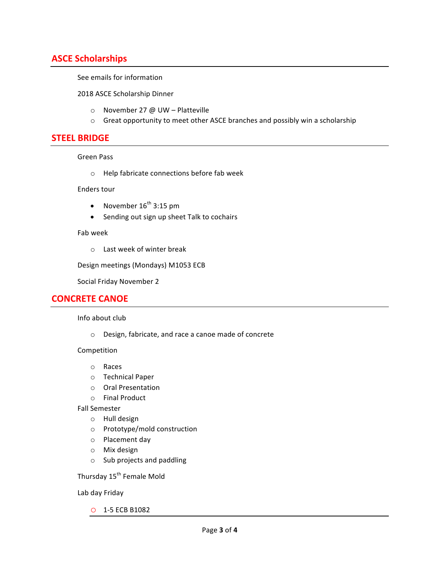# **ASCE Scholarships**

See emails for information

2018 ASCE Scholarship Dinner

- $\circ$  November 27 @ UW Platteville
- $\circ$  Great opportunity to meet other ASCE branches and possibly win a scholarship

### **STEEL BRIDGE**

#### Green Pass

 $\circ$  Help fabricate connections before fab week

#### Enders tour

- November  $16^{th}$  3:15 pm
- Sending out sign up sheet Talk to cochairs

#### Fab week

 $\circ$  Last week of winter break

Design meetings (Mondays) M1053 ECB

Social Friday November 2

#### **CONCRETE CANOE**

#### Info about club

o Design, fabricate, and race a canoe made of concrete

#### Competition

- o Races
- o Technical Paper
- o Oral Presentation
- o Final Product
- Fall Semester
	- $o$  Hull design
	- o Prototype/mold construction
	- o Placement day
	- o Mix design
	- $\circ$  Sub projects and paddling

Thursday 15<sup>th</sup> Female Mold

Lab day Friday

o 1-5 ECB B1082